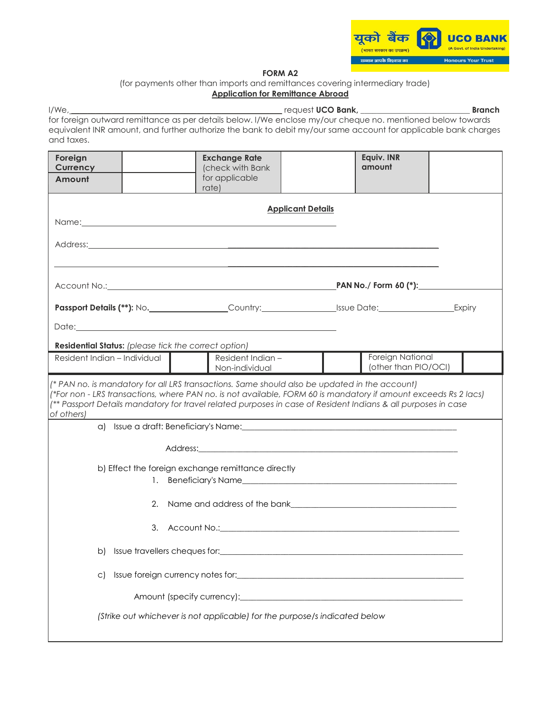

## **FORM A2**

(for payments other than imports and remittances covering intermediary trade) **Application for Remittance Abroad**

|                                                                     |                                                                                                                                                                                                                                                                                                                                   |                          |                      | <b>Branch</b> |
|---------------------------------------------------------------------|-----------------------------------------------------------------------------------------------------------------------------------------------------------------------------------------------------------------------------------------------------------------------------------------------------------------------------------|--------------------------|----------------------|---------------|
| and taxes.                                                          | for foreign outward remittance as per details below. I/We enclose my/our cheque no. mentioned below towards<br>equivalent INR amount, and further authorize the bank to debit my/our same account for applicable bank charges                                                                                                     |                          |                      |               |
| Foreign<br><b>Currency</b>                                          | <b>Exchange Rate</b><br>(check with Bank                                                                                                                                                                                                                                                                                          |                          | Equiv. INR<br>amount |               |
| Amount                                                              | for applicable<br>rate)                                                                                                                                                                                                                                                                                                           |                          |                      |               |
|                                                                     |                                                                                                                                                                                                                                                                                                                                   | <b>Applicant Details</b> |                      |               |
|                                                                     | Name: when the contract of the contract of the contract of the contract of the contract of the contract of the contract of the contract of the contract of the contract of the contract of the contract of the contract of the                                                                                                    |                          |                      |               |
|                                                                     |                                                                                                                                                                                                                                                                                                                                   |                          |                      |               |
|                                                                     |                                                                                                                                                                                                                                                                                                                                   |                          |                      |               |
|                                                                     |                                                                                                                                                                                                                                                                                                                                   |                          |                      |               |
|                                                                     |                                                                                                                                                                                                                                                                                                                                   |                          |                      |               |
|                                                                     |                                                                                                                                                                                                                                                                                                                                   |                          |                      |               |
| <b>Residential Status:</b> (please tick the correct option)         |                                                                                                                                                                                                                                                                                                                                   |                          |                      |               |
| Resident Indian - Individual<br>Resident Indian -<br>Non-individual |                                                                                                                                                                                                                                                                                                                                   |                          |                      |               |
| of others)                                                          | (* PAN no. is mandatory for all LRS transactions. Same should also be updated in the account)<br>(*For non - LRS transactions, where PAN no. is not available, FORM 60 is mandatory if amount exceeds Rs 2 lacs)<br>(** Passport Details mandatory for travel related purposes in case of Resident Indians & all purposes in case |                          |                      |               |
|                                                                     |                                                                                                                                                                                                                                                                                                                                   |                          |                      |               |
|                                                                     |                                                                                                                                                                                                                                                                                                                                   |                          |                      |               |
|                                                                     | b) Effect the foreign exchange remittance directly                                                                                                                                                                                                                                                                                |                          |                      |               |
|                                                                     | 2. Name and address of the bank and the control of the bank and the bank of the bank of the control of the control of the control of the control of the control of the control of the control of the control of the control of                                                                                                    |                          |                      |               |
|                                                                     |                                                                                                                                                                                                                                                                                                                                   |                          |                      |               |
| b)                                                                  |                                                                                                                                                                                                                                                                                                                                   |                          |                      |               |
| C)                                                                  |                                                                                                                                                                                                                                                                                                                                   |                          |                      |               |
|                                                                     |                                                                                                                                                                                                                                                                                                                                   |                          |                      |               |

*(Strike out whichever is not applicable) for the purpose/s indicated below*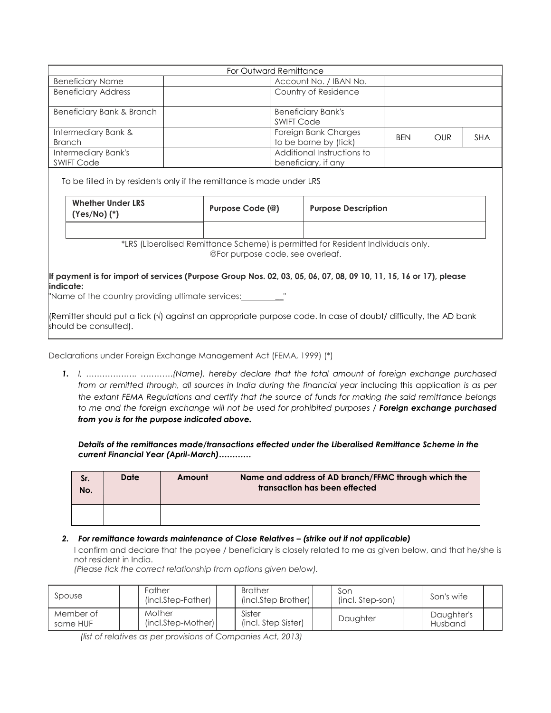| For Outward Remittance                   |                                                   |            |            |            |  |  |  |  |
|------------------------------------------|---------------------------------------------------|------------|------------|------------|--|--|--|--|
| <b>Beneficiary Name</b>                  | Account No. / IBAN No.                            |            |            |            |  |  |  |  |
| <b>Beneficiary Address</b>               | Country of Residence                              |            |            |            |  |  |  |  |
| Beneficiary Bank & Branch                | <b>Beneficiary Bank's</b><br><b>SWIFT Code</b>    |            |            |            |  |  |  |  |
| Intermediary Bank &<br><b>Branch</b>     | Foreign Bank Charges<br>to be borne by (tick)     | <b>BEN</b> | <b>OUR</b> | <b>SHA</b> |  |  |  |  |
| Intermediary Bank's<br><b>SWIFT Code</b> | Additional Instructions to<br>beneficiary, if any |            |            |            |  |  |  |  |

To be filled in by residents only if the remittance is made under LRS

| <b>Whether Under LRS</b><br>$(Yes/No)$ $(*)$ | Purpose Code (@) | <b>Purpose Description</b> |
|----------------------------------------------|------------------|----------------------------|
|                                              |                  |                            |

\*LRS (Liberalised Remittance Scheme) is permitted for Resident Individuals only. @For purpose code, see overleaf.

**If payment is for import of services (Purpose Group Nos. 02, 03, 05, 06, 07, 08, 09 10, 11, 15, 16 or 17), please indicate:**

"Name of the country providing ultimate services:

(Remitter should put a tick (√) against an appropriate purpose code. In case of doubt/ difficulty, the AD bank should be consulted).

Declarations under Foreign Exchange Management Act (FEMA, 1999) (\*)

*1. I, ………………. …………(Name), hereby declare that the total amount of foreign exchange purchased from or remitted through, all sources in India during the financial year including this application is as per the extant FEMA Regulations and certify that the source of funds for making the said remittance belongs to me and the foreign exchange will not be used for prohibited purposes / Foreign exchange purchased from you is for the purpose indicated above.*

*Details of the remittances made/transactions effected under the Liberalised Remittance Scheme in the current Financial Year (April-March)…………*

| Sr.<br>No. | Date | Amount | Name and address of AD branch/FFMC through which the<br>transaction has been effected |
|------------|------|--------|---------------------------------------------------------------------------------------|
|            |      |        |                                                                                       |

## *2. For remittance towards maintenance of Close Relatives – (strike out if not applicable)*

I confirm and declare that the payee / beneficiary is closely related to me as given below, and that he/she is not resident in India.

*(Please tick the correct relationship from options given below).*

| Spouse                | Father<br>(incl.Step-Father) | <b>Brother</b><br>(incl.Step Brother) | Son<br>(incl. Step-son) | Son's wife            |  |
|-----------------------|------------------------------|---------------------------------------|-------------------------|-----------------------|--|
| Member of<br>same HUF | Mother<br>(incl.Step-Mother) | Sister<br>(incl. Step Sister)         | Daughter                | Daughter's<br>Husband |  |

*(list of relatives as per provisions of Companies Act, 2013)*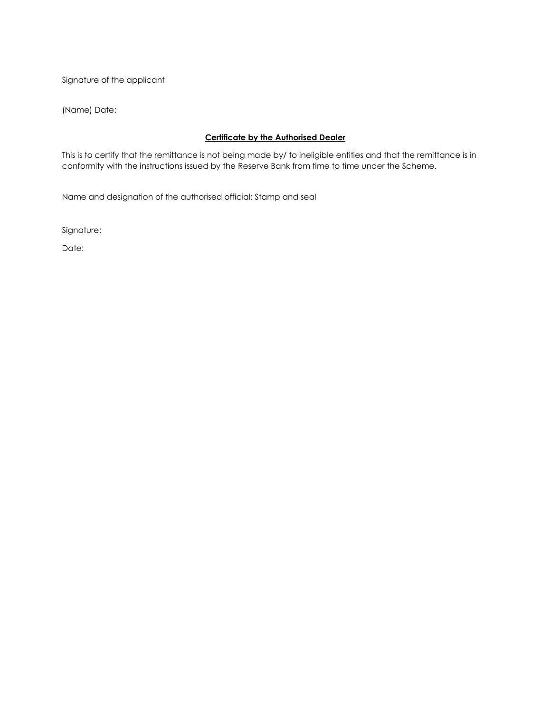Signature of the applicant

(Name) Date:

## **Certificate by the Authorised Dealer**

This is to certify that the remittance is not being made by/ to ineligible entities and that the remittance is in conformity with the instructions issued by the Reserve Bank from time to time under the Scheme.

Name and designation of the authorised official: Stamp and seal

Signature:

Date: